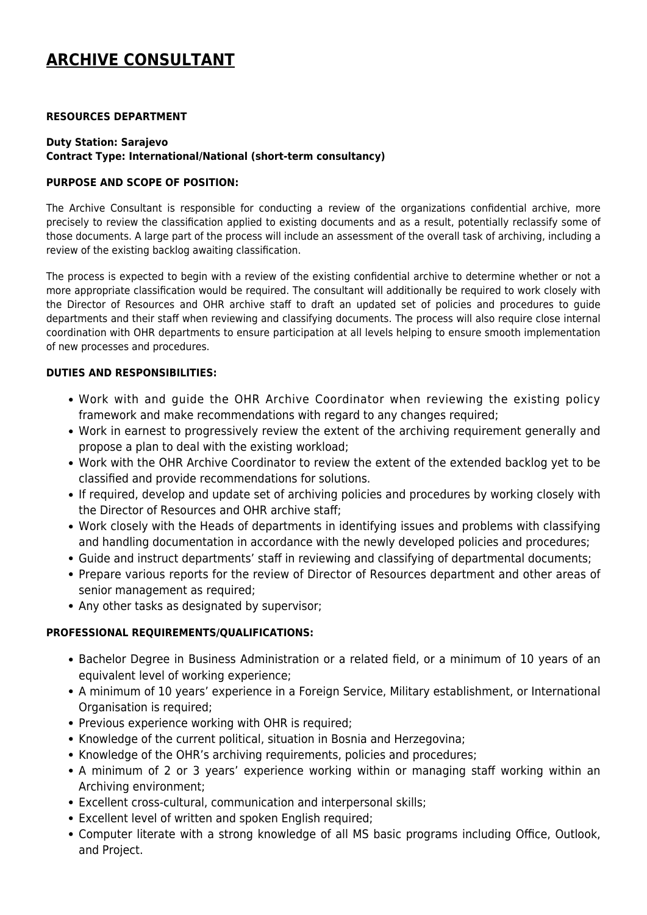# **[ARCHIVE CONSULTANT](http://www.ohr.int/archive-consultant/)**

#### **RESOURCES DEPARTMENT**

### **Duty Station: Sarajevo Contract Type: International/National (short-term consultancy)**

### **PURPOSE AND SCOPE OF POSITION:**

The Archive Consultant is responsible for conducting a review of the organizations confidential archive, more precisely to review the classification applied to existing documents and as a result, potentially reclassify some of those documents. A large part of the process will include an assessment of the overall task of archiving, including a review of the existing backlog awaiting classification.

The process is expected to begin with a review of the existing confidential archive to determine whether or not a more appropriate classification would be required. The consultant will additionally be required to work closely with the Director of Resources and OHR archive staff to draft an updated set of policies and procedures to guide departments and their staff when reviewing and classifying documents. The process will also require close internal coordination with OHR departments to ensure participation at all levels helping to ensure smooth implementation of new processes and procedures.

#### **DUTIES AND RESPONSIBILITIES:**

- Work with and guide the OHR Archive Coordinator when reviewing the existing policy framework and make recommendations with regard to any changes required;
- Work in earnest to progressively review the extent of the archiving requirement generally and propose a plan to deal with the existing workload;
- Work with the OHR Archive Coordinator to review the extent of the extended backlog yet to be classified and provide recommendations for solutions.
- If required, develop and update set of archiving policies and procedures by working closely with the Director of Resources and OHR archive staff;
- Work closely with the Heads of departments in identifying issues and problems with classifying and handling documentation in accordance with the newly developed policies and procedures;
- Guide and instruct departments' staff in reviewing and classifying of departmental documents;
- Prepare various reports for the review of Director of Resources department and other areas of senior management as required;
- Any other tasks as designated by supervisor;

## **PROFESSIONAL REQUIREMENTS/QUALIFICATIONS:**

- Bachelor Degree in Business Administration or a related field, or a minimum of 10 years of an equivalent level of working experience;
- A minimum of 10 years' experience in a Foreign Service, Military establishment, or International Organisation is required;
- Previous experience working with OHR is required:
- Knowledge of the current political, situation in Bosnia and Herzegovina;
- Knowledge of the OHR's archiving requirements, policies and procedures;
- A minimum of 2 or 3 years' experience working within or managing staff working within an Archiving environment;
- Excellent cross-cultural, communication and interpersonal skills;
- Excellent level of written and spoken English required;
- Computer literate with a strong knowledge of all MS basic programs including Office, Outlook, and Project.